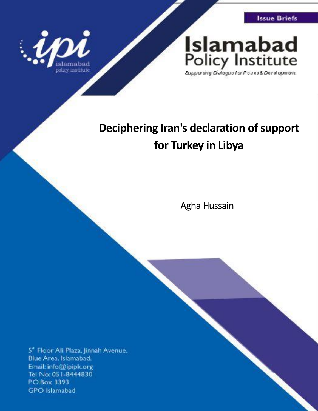**Issue Briefs** 



# **Islamabad** Policy Institute

Supporting Dialogue for Peace& Development

## **Deciphering Iran's declaration of support for Turkey in Libya**

Agha Hussain

5<sup>\*</sup> Floor Ali Plaza, Jinnah Avenue, Blue Area, Islamabad. Email: info@ipipk.org Tel No: 051-8444830 P.O.Box 3393 **GPO** Islamabad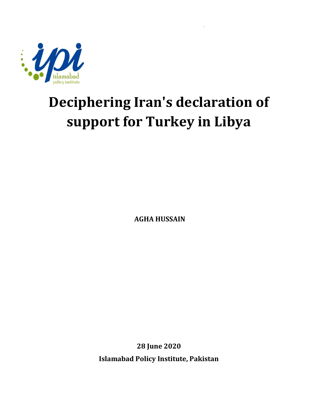

# **Deciphering Iran's declaration of support for Turkey in Libya**

**AGHA HUSSAIN**

**28 June 2020**

**Islamabad Policy Institute, Pakistan**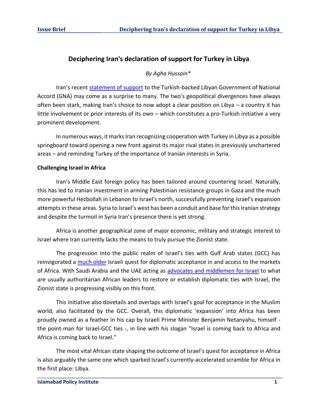### **Deciphering Iran's declaration of support for Turkey in Libya**

#### *By Agha Hussain\**

Iran's recent [statement of support](https://www.middleeastmonitor.com/20200617-iran-fm-voices-support-for-turkey-backed-libya-government/) to the Turkish-backed Libyan Government of National Accord (GNA) may come as a surprise to many. The two's geopolitical divergences have always often been stark, making Iran's choice to now adopt a clear position on Libya – a country it has little involvement or prior interests of its own – which constitutes a pro-Turkish initiative a very prominent development.

In numerous ways, it marks Iran recognizing cooperation with Turkey in Libya as a possible springboard toward opening a new front against its major rival states in previously unchartered areas – and reminding Turkey of the importance of Iranian interests in Syria.

#### **Challenging Israel in Africa**

Iran's Middle East foreign policy has been tailored around countering Israel. Naturally, this has led to Iranian investment in arming Palestinian resistance groups in Gaza and the much more powerful Hezbollah in Lebanon to Israel's north, successfully preventing Israel's expansion attempts in these areas. Syria to Israel's west has been a conduit and base for this Iranian strategy and despite the turmoil in Syria Iran's presence there is yet strong.

Africa is another geographical zone of major economic, military and strategic interest to Israel where Iran currently lacks the means to truly pursue the Zionist state.

The progression into the public realm of Israel's ties with Gulf Arab states (GCC) has reinvigorated a [much older](https://www.foreignpolicyjournal.com/2015/07/07/israels-courtship-of-african-countries-an-emotional-thing/) Israeli quest for diplomatic acceptance in and access to the markets of Africa. With Saudi Arabia and the UAE acting as [advocates and middlemen for Israel](https://www.aa.com.tr/en/analysis/analysis-israel-adopts-new-africa-policy-through-uae/1739789) to what are usually authoritarian African leaders to restore or establish diplomatic ties with Israel, the Zionist state is progressing visibly on this front.

This initiative also dovetails and overlaps with Israel's goal for acceptance in the Muslim world, also facilitated by the GCC. Overall, this diplomatic 'expansion' into Africa has been proudly owned as a feather in his cap by Israeli Prime Minister Benjamin Netanyahu, himself the point-man for Israel-GCC ties -, in line with his slogan "Israel is coming back to Africa and Africa is coming back to Israel."

The most vital African state shaping the outcome of Israel's quest for acceptance in Africa is also arguably the same one which sparked Israel's currently-accelerated scramble for Africa in the first place: Libya.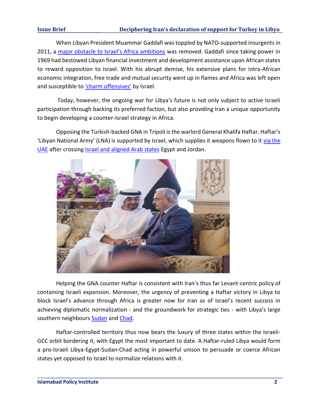#### **Issue Brief Deciphering Iran's declaration of support for Turkey in Libya**

When Libyan President Muammar Gaddafi was toppled by NATO-supported insurgents in 2011, a [major obstacle to Israel's Africa ambitions](https://www.middleeastmonitor.com/20181220-what-stopped-chads-idriss-deby-from-visiting-israel-before-now/) was removed. Gaddafi since taking power in 1969 had bestowed Libyan financial investment and development assistance upon African states to reward opposition to Israel. With his abrupt demise, his extensive plans for intra-African economic integration, free trade and mutual security went up in flames and Africa was left open and susceptible to ['charm offensives'](https://www.aljazeera.com/indepth/opinion/israel-scramble-africa-selling-water-weapons-lies-190722184120192.html) by Israel.

Today, however, the ongoing war for Libya's future is not only subject to active Israeli participation through backing its preferred faction, but also providing Iran a unique opportunity to begin developing a counter-Israel strategy in Africa.

Opposing the Turkish-backed GNA in Tripoli is the warlord General Khalifa Haftar. Haftar's 'Libyan National Army' (LNA) is supported by Israel, which supplies it weapons flown to it [via the](https://www.libyaobserver.ly/news/uae-gives-haftar-israeli-air-defense-system)  [UAE](https://www.libyaobserver.ly/news/uae-gives-haftar-israeli-air-defense-system) after crossing [Israel and aligned Arab states](https://news.antiwar.com/2019/05/28/libyas-hafter-got-influx-of-secret-cargo-deliveries-at-start-of-tripoli-offensive/) Egypt and Jordan.



Helping the GNA counter Haftar is consistent with Iran's thus far Levant-centric policy of containing Israeli expansion. Moreover, the urgency of preventing a Haftar victory in Libya to block Israel's advance through Africa is greater now for Iran as of Israel's recent success in achieving diplomatic normalization - and the groundwork for strategic ties - with Libya's large southern neighbours [Sudan](https://www.trtworld.com/africa/the-backstory-of-the-sudan-israel-rapprochement-33488) and [Chad.](https://www.reuters.com/article/us-chad-israel-rapprochement/israel-and-chad-revive-diplomatic-relations-call-for-closer-security-ties-idUSKCN1PE0OQ)

Haftar-controlled territory thus now bears the luxury of three states within the Israeli-GCC orbit bordering it, with Egypt the most important to date. A Haftar-ruled Libya would form a pro-Israeli Libya-Egypt-Sudan-Chad acting in powerful unison to persuade or coerce African states yet opposed to Israel to normalize relations with it.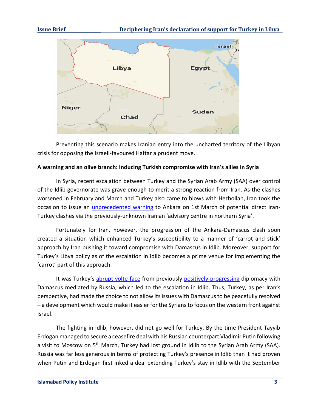

Preventing this scenario makes Iranian entry into the uncharted territory of the Libyan crisis for opposing the Israeli-favoured Haftar a prudent move.

### **A warning and an olive branch: Inducing Turkish compromise with Iran's allies in Syria**

In Syria, recent escalation between Turkey and the Syrian Arab Army (SAA) over control of the Idlib governorate was grave enough to merit a strong reaction from Iran. As the clashes worsened in February and March and Turkey also came to blows with Hezbollah, Iran took the occasion to issue an *unprecedented warning* to Ankara on 1st March of potential direct Iran-Turkey clashes via the previously-unknown Iranian 'advisory centre in northern Syria'.

Fortunately for Iran, however, the progression of the Ankara-Damascus clash soon created a situation which enhanced Turkey's susceptibility to a manner of 'carrot and stick' approach by Iran pushing it toward compromise with Damascus in Idlib. Moreover, support for Turkey's Libya policy as of the escalation in Idlib becomes a prime venue for implementing the 'carrot' part of this approach.

It was Turkey's [abrupt volte-face](https://english.enabbaladi.net/archives/2020/02/erdogan-says-astana-peace-talks-are-dead/) from previously [positively-progressing](https://www.al-monitor.com/pulse/originals/2020/01/turkey-syria-russia-fidan-mamlouk-meeting-normalization.html) diplomacy with Damascus mediated by Russia, which led to the escalation in Idlib. Thus, Turkey, as per Iran's perspective, had made the choice to not allow its issues with Damascus to be peacefully resolved – a development which would make it easier for the Syrians to focus on the western front against Israel.

The fighting in Idlib, however, did not go well for Turkey. By the time President Tayyib Erdogan managed to secure a ceasefire deal with his Russian counterpart Vladimir Putin following a visit to Moscow on 5<sup>th</sup> March, Turkey had lost ground in Idlib to the Syrian Arab Army (SAA). Russia was far less generous in terms of protecting Turkey's presence in Idlib than it had proven when Putin and Erdogan first inked a deal extending Turkey's stay in Idlib with the September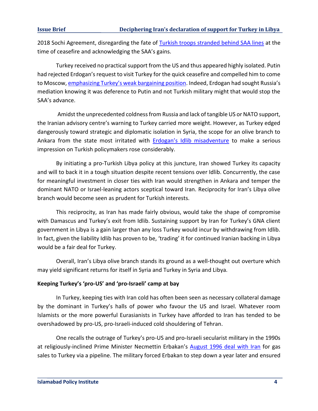2018 Sochi Agreement, disregarding the fate of [Turkish troops stranded behind SAA lines](https://warontherocks.com/2020/04/leak-reveals-jihadists-weakening-grip-in-syrias-idlib/) at the time of ceasefire and acknowledging the SAA's gains.

Turkey received no practical support from the US and thus appeared highly isolated. Putin had rejected Erdogan's request to visit Turkey for the quick ceasefire and compelled him to come to Moscow, [emphasizing Turkey's weak bargaining position.](https://www.al-monitor.com/pulse/originals/2020/03/turkey-russia-syria-idlib-deal-erdogan-accepts-regimes-gains.html) Indeed, Erdogan had sought Russia's mediation knowing it was deference to Putin and not Turkish military might that would stop the SAA's advance.

Amidst the unprecedented coldness from Russia and lack of tangible US or NATO support, the Iranian advisory centre's warning to Turkey carried more weight. However, as Turkey edged dangerously toward strategic and diplomatic isolation in Syria, the scope for an olive branch to Ankara from the state most irritated with **[Erdogan's Idlib misadventure](https://www.mintpressnews.com/erdogans-idlib-misadventure-reality-checks-hard-lessons-turkey/266275/) to make a serious** impression on Turkish policymakers rose considerably.

By initiating a pro-Turkish Libya policy at this juncture, Iran showed Turkey its capacity and will to back it in a tough situation despite recent tensions over Idlib. Concurrently, the case for meaningful investment in closer ties with Iran would strengthen in Ankara and temper the dominant NATO or Israel-leaning actors sceptical toward Iran. Reciprocity for Iran's Libya olive branch would become seen as prudent for Turkish interests.

This reciprocity, as Iran has made fairly obvious, would take the shape of compromise with Damascus and Turkey's exit from Idlib. Sustaining support by Iran for Turkey's GNA client government in Libya is a gain larger than any loss Turkey would incur by withdrawing from Idlib. In fact, given the liability Idlib has proven to be, 'trading' it for continued Iranian backing in Libya would be a fair deal for Turkey.

Overall, Iran's Libya olive branch stands its ground as a well-thought out overture which may yield significant returns for itself in Syria and Turkey in Syria and Libya.

### **Keeping Turkey's 'pro-US' and 'pro-Israeli' camp at bay**

In Turkey, keeping ties with Iran cold has often been seen as necessary collateral damage by the dominant in Turkey's halls of power who favour the US and Israel. Whatever room Islamists or the more powerful Eurasianists in Turkey have afforded to Iran has tended to be overshadowed by pro-US, pro-Israeli-induced cold shouldering of Tehran.

One recalls the outrage of Turkey's pro-US and pro-Israeli secularist military in the 1990s at religiously-inclined Prime Minister Necmettin Erbakan's [August 1996 deal with Iran](https://www.latimes.com/archives/la-xpm-1996-08-11-mn-33379-story.html) for gas sales to Turkey via a pipeline. The military forced Erbakan to step down a year later and ensured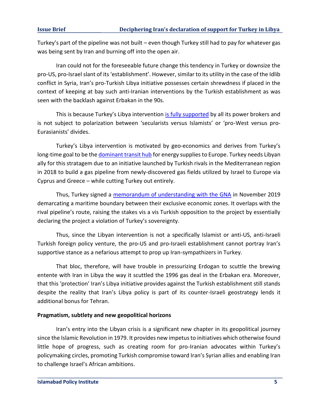Turkey's part of the pipeline was not built – even though Turkey still had to pay for whatever gas was being sent by Iran and burning off into the open air.

Iran could not for the foreseeable future change this tendency in Turkey or downsize the pro-US, pro-Israel slant of its 'establishment'. However, similar to its utility in the case of the Idlib conflict in Syria, Iran's pro-Turkish Libya initiative possesses certain shrewdness if placed in the context of keeping at bay such anti-Iranian interventions by the Turkish establishment as was seen with the backlash against Erbakan in the 90s.

This is because Turkey's Libya intervention [is fully supported](https://www.al-monitor.com/pulse/originals/2019/12/turkey-is-libya-becoming-ankaras-second-syria.html) by all its power brokers and is not subject to polarization between 'secularists versus Islamists' or 'pro-West versus pro-Eurasianists' divides.

Turkey's Libya intervention is motivated by geo-economics and derives from Turkey's long-time goal to be th[e dominant transit hub](https://www.wrmea.org/007-november/pipeline-pipeline-whos-got-the-pipeline-turkeys-quest-for-energy-significance.html) for energy supplies to Europe. Turkey needs Libyan ally for this stratagem due to an initiative launched by Turkish rivals in the Mediterranean region in 2018 to build a gas pipeline from newly-discovered gas fields utilized by Israel to Europe via Cyprus and Greece – while cutting Turkey out entirely.

Thus, Turkey signed a [memorandum of understanding with the GNA](https://www.middleeasteye.net/news/turkey-libya-sign-maritime-deal-counter-greek-drillings) in November 2019 demarcating a maritime boundary between their exclusive economic zones. It overlaps with the rival pipeline's route, raising the stakes vis a vis Turkish opposition to the project by essentially declaring the project a violation of Turkey's sovereignty.

Thus, since the Libyan intervention is not a specifically Islamist or anti-US, anti-Israeli Turkish foreign policy venture, the pro-US and pro-Israeli establishment cannot portray Iran's supportive stance as a nefarious attempt to prop up Iran-sympathizers in Turkey.

That bloc, therefore, will have trouble in pressurizing Erdogan to scuttle the brewing entente with Iran in Libya the way it scuttled the 1996 gas deal in the Erbakan era. Moreover, that this 'protection' Iran's Libya initiative provides against the Turkish establishment still stands despite the reality that Iran's Libya policy is part of its counter-Israeli geostrategy lends it additional bonus for Tehran.

#### **Pragmatism, subtlety and new geopolitical horizons**

Iran's entry into the Libyan crisis is a significant new chapter in its geopolitical journey since the Islamic Revolution in 1979. It provides new impetus to initiatives which otherwise found little hope of progress, such as creating room for pro-Iranian advocates within Turkey's policymaking circles, promoting Turkish compromise toward Iran's Syrian allies and enabling Iran to challenge Israel's African ambitions.